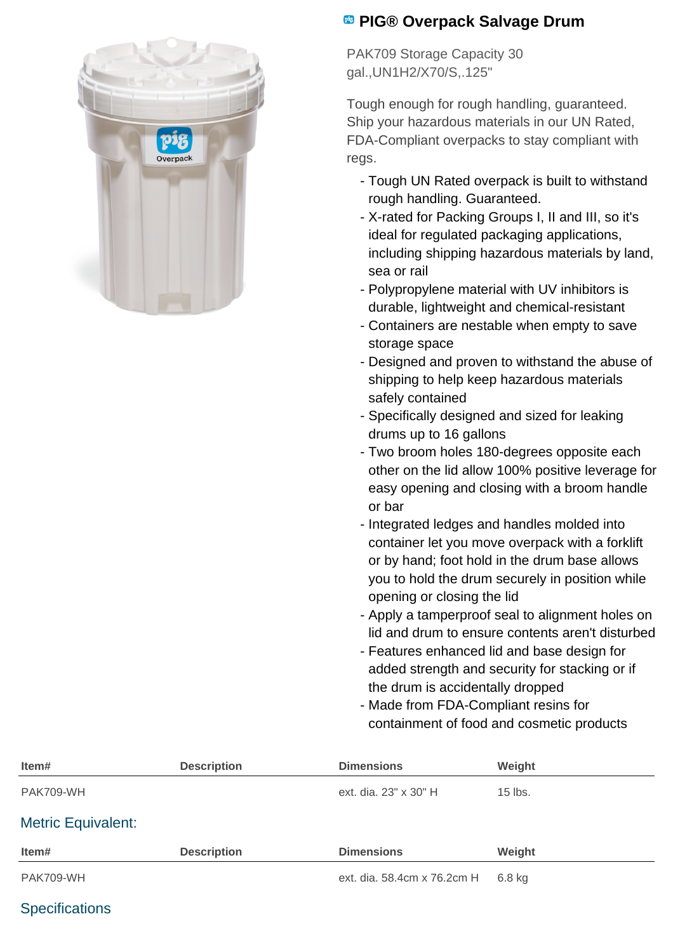

## **PIG® Overpack Salvage Drum**

PAK709 Storage Capacity 30 gal.,UN1H2/X70/S,.125"

Tough enough for rough handling, guaranteed. Ship your hazardous materials in our UN Rated, FDA-Compliant overpacks to stay compliant with regs.

- Tough UN Rated overpack is built to withstand rough handling. Guaranteed.
- X-rated for Packing Groups I, II and III, so it's ideal for regulated packaging applications, including shipping hazardous materials by land, sea or rail
- Polypropylene material with UV inhibitors is durable, lightweight and chemical-resistant
- Containers are nestable when empty to save storage space
- Designed and proven to withstand the abuse of shipping to help keep hazardous materials safely contained
- Specifically designed and sized for leaking drums up to 16 gallons
- Two broom holes 180-degrees opposite each other on the lid allow 100% positive leverage for easy opening and closing with a broom handle or bar
- Integrated ledges and handles molded into container let you move overpack with a forklift or by hand; foot hold in the drum base allows you to hold the drum securely in position while opening or closing the lid
- Apply a tamperproof seal to alignment holes on lid and drum to ensure contents aren't disturbed
- Features enhanced lid and base design for added strength and security for stacking or if the drum is accidentally dropped
- Made from FDA-Compliant resins for containment of food and cosmetic products

| Item#                     | <b>Description</b> | <b>Dimensions</b>           | Weight    |
|---------------------------|--------------------|-----------------------------|-----------|
| PAK709-WH                 |                    | ext. dia. 23" x 30" H       | $15$ lbs. |
| <b>Metric Equivalent:</b> |                    |                             |           |
| Item#                     | <b>Description</b> | <b>Dimensions</b>           | Weight    |
| PAK709-WH                 |                    | ext. dia. 58.4cm x 76.2cm H | $6.8$ kg  |

### **Specifications**